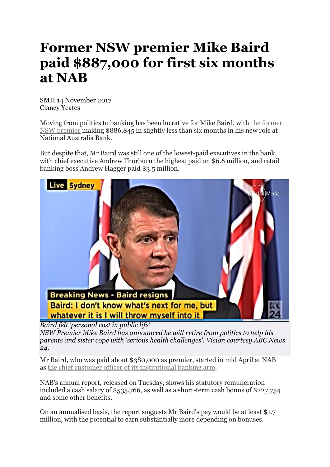## **Former NSW premier Mike Baird paid \$887,000 for first six months at NAB**

SMH 14 November 2017 Clancy Yeates

Moving from politics to banking has been lucrative for Mike Baird, with the [former](http://www.smh.com.au/nsw/mike-baird-resigned-the-life-and-times-of-nsws-44th-premier-20170119-gtuox1.html) NSW [premier](http://www.smh.com.au/nsw/mike-baird-resigned-the-life-and-times-of-nsws-44th-premier-20170119-gtuox1.html) making \$886,845 in slightly less than six months in his new role at National Australia Bank.

But despite that, Mr Baird was still one of the lowest-paid executives in the bank, with chief executive Andrew Thorburn the highest paid on \$6.6 million, and retail banking boss Andrew Hagger paid \$3.5 million.



*Baird felt 'personal cost in public life' NSW Premier Mike Baird has announced he will retire from politics to help his parents and sister cope with 'serious health challenges'. Vision courtesy ABC News*

*24.*

Mr Baird, who was paid about \$380,000 as premier, started in mid April at NAB as the chief customer officer of its [institutional](http://www.smh.com.au/business/banking-and-finance/former-nsw-premier-mike-baird-joins-nab-as-chief-customer-officer-20170227-gumplr.html) banking arm.

NAB's annual report, released on Tuesday, shows his statutory remuneration included a cash salary of \$535,766, as well as a short-term cash bonus of \$227,754 and some other benefits.

On an annualised basis, the report suggests Mr Baird's pay would be at least \$1.7 million, with the potential to earn substantially more depending on bonuses.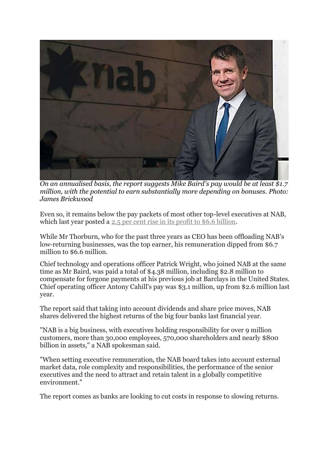

*On an annualised basis, the report suggests Mike Baird's pay would be at least \$1.7 million, with the potential to earn substantially more depending on bonuses. Photo: James Brickwood*

Even so, it remains below the pay packets of most other top-level executives at NAB, which last year posted a 2.5 per cent rise in its profit to \$6.6 [billion.](http://www.smh.com.au/business/banking-and-finance/nab-reveals-6000-jobs-to-go-as-it-announces-66b-profit-20171101-gzd3tc.html)

While Mr Thorburn, who for the past three years as CEO has been offloading NAB's low-returning businesses, was the top earner, his remuneration dipped from \$6.7 million to \$6.6 million.

Chief technology and operations officer Patrick Wright, who joined NAB at the same time as Mr Baird, was paid a total of \$4.38 million, including \$2.8 million to compensate for forgone payments at his previous job at Barclays in the United States. Chief operating officer Antony Cahill's pay was \$3.1 million, up from \$2.6 million last year.

The report said that taking into account dividends and share price moves, NAB shares delivered the highest returns of the big four banks last financial year.

"NAB is a big business, with executives holding responsibility for over 9 million customers, more than 30,000 employees, 570,000 shareholders and nearly \$800 billion in assets," a NAB spokesman said.

"When setting executive remuneration, the NAB board takes into account external market data, role complexity and responsibilities, the performance of the senior executives and the need to attract and retain talent in a globally competitive environment."

The report comes as banks are looking to cut costs in response to slowing returns.